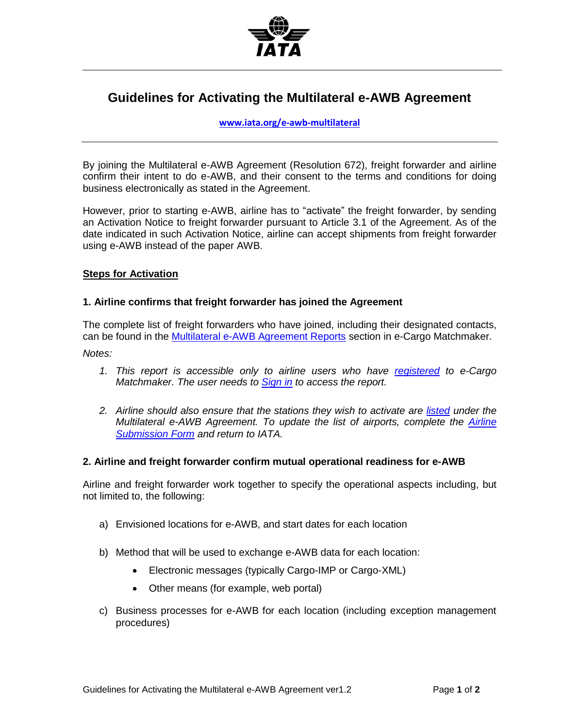

# **Guidelines for Activating the Multilateral e-AWB Agreement**

**[www.iata.org/e-awb-multilateral](http://www.iata.org/e-awb-multilateral)** 

By joining the Multilateral e-AWB Agreement (Resolution 672), freight forwarder and airline confirm their intent to do e-AWB, and their consent to the terms and conditions for doing business electronically as stated in the Agreement.

However, prior to starting e-AWB, airline has to "activate" the freight forwarder, by sending an Activation Notice to freight forwarder pursuant to Article 3.1 of the Agreement. As of the date indicated in such Activation Notice, airline can accept shipments from freight forwarder using e-AWB instead of the paper AWB.

## **Steps for Activation**

## **1. Airline confirms that freight forwarder has joined the Agreement**

The complete list of freight forwarders who have joined, including their designated contacts, can be found in the [Multilateral e-AWB Agreement Reports](https://matchmaker.iata.org/efReport/contactInfoFfAndAffiliatesReport) section in e-Cargo Matchmaker.

*Notes:* 

- *1. This report is accessible only to airline users who have [registered](https://matchmaker.iata.org/register) to e-Cargo Matchmaker. The user needs to [Sign in](https://matchmaker.iata.org/login) to access the report.*
- *2. Airline should also ensure that the stations they wish to activate are [listed](https://matchmaker.iata.org/efReport/airlinesAndAirportsAgrReport) under the Multilateral e-AWB Agreement. To update the list of airports, complete the [Airline](http://www.iata.org/whatwedo/cargo/e/eawb/Documents/multilateral-airline-submission-form.doc)  [Submission Form](http://www.iata.org/whatwedo/cargo/e/eawb/Documents/multilateral-airline-submission-form.doc) and return to IATA.*

#### **2. Airline and freight forwarder confirm mutual operational readiness for e-AWB**

Airline and freight forwarder work together to specify the operational aspects including, but not limited to, the following:

- a) Envisioned locations for e-AWB, and start dates for each location
- b) Method that will be used to exchange e-AWB data for each location:
	- Electronic messages (typically Cargo-IMP or Cargo-XML)
	- Other means (for example, web portal)
- c) Business processes for e-AWB for each location (including exception management procedures)